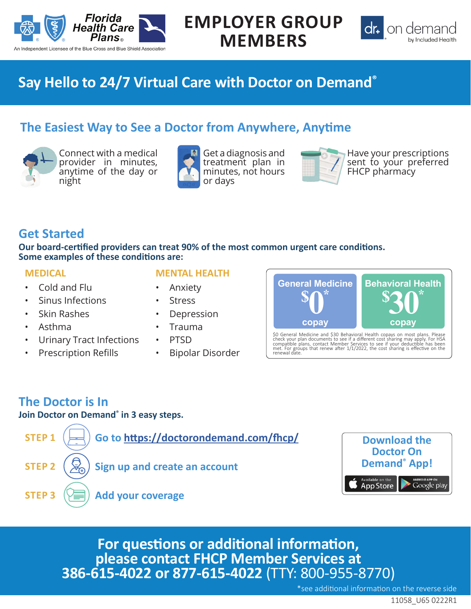

# **EMPLOYER GROUP MEMBERS**



## **Say Hello to 24/7 Virtual Care with Doctor on Demand®**

### **The Easiest Way to See a Doctor from Anywhere, Anytime**



Connect with a medical provider in minutes, anytime of the day or night



Get a diagnosis and treatment plan in minutes, not hours or days



Have your prescriptions sent to your preferred FHCP pharmacy

### **Get Started**

**Our board-certified providers can treat 90% of the most common urgent care conditions. Some examples of these conditions are:**

#### **MEDICAL**

- Cold and Flu
- Sinus Infections
- Skin Rashes
- Asthma
- Urinary Tract Infections
- Prescription Refills

#### **MENTAL HEALTH**

- Anxiety
- **Stress**
- **Depression**
- Trauma
- PTSD
- Bipolar Disorder



\$0 General Medicine and \$30 Behavioral Health copays on most plans. Please<br>check your plan documents to see if a different cost sharing may apply, For HSA<br>compatible plans, contact Member Services to see if your deductible

## **The Doctor is In**

**Join Doctor on Demand® in 3 easy steps.**





**For questions or additional information, please contact FHCP Member Services at 386-615-4022 or 877-615-4022** (TTY: 800-955-8770)

\*see additional information on the reverse side

11058\_U65 0222R1